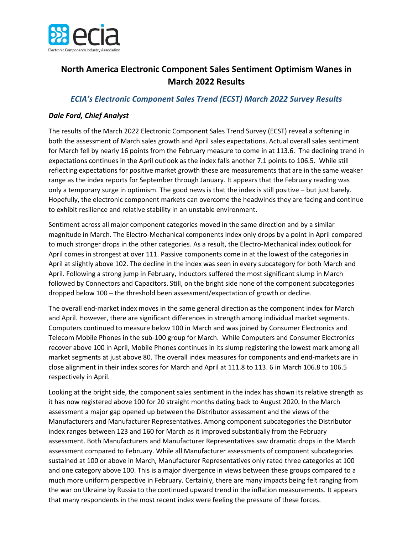

## **North America Electronic Component Sales Sentiment Optimism Wanes in March 2022 Results**

## *ECIA's Electronic Component Sales Trend (ECST) March 2022 Survey Results*

## *Dale Ford, Chief Analyst*

The results of the March 2022 Electronic Component Sales Trend Survey (ECST) reveal a softening in both the assessment of March sales growth and April sales expectations. Actual overall sales sentiment for March fell by nearly 16 points from the February measure to come in at 113.6. The declining trend in expectations continues in the April outlook as the index falls another 7.1 points to 106.5. While still reflecting expectations for positive market growth these are measurements that are in the same weaker range as the index reports for September through January. It appears that the February reading was only a temporary surge in optimism. The good news is that the index is still positive – but just barely. Hopefully, the electronic component markets can overcome the headwinds they are facing and continue to exhibit resilience and relative stability in an unstable environment.

Sentiment across all major component categories moved in the same direction and by a similar magnitude in March. The Electro-Mechanical components index only drops by a point in April compared to much stronger drops in the other categories. As a result, the Electro-Mechanical index outlook for April comes in strongest at over 111. Passive components come in at the lowest of the categories in April at slightly above 102. The decline in the index was seen in every subcategory for both March and April. Following a strong jump in February, Inductors suffered the most significant slump in March followed by Connectors and Capacitors. Still, on the bright side none of the component subcategories dropped below 100 – the threshold been assessment/expectation of growth or decline.

The overall end-market index moves in the same general direction as the component index for March and April. However, there are significant differences in strength among individual market segments. Computers continued to measure below 100 in March and was joined by Consumer Electronics and Telecom Mobile Phones in the sub-100 group for March. While Computers and Consumer Electronics recover above 100 in April, Mobile Phones continues in its slump registering the lowest mark among all market segments at just above 80. The overall index measures for components and end-markets are in close alignment in their index scores for March and April at 111.8 to 113. 6 in March 106.8 to 106.5 respectively in April.

Looking at the bright side, the component sales sentiment in the index has shown its relative strength as it has now registered above 100 for 20 straight months dating back to August 2020. In the March assessment a major gap opened up between the Distributor assessment and the views of the Manufacturers and Manufacturer Representatives. Among component subcategories the Distributor index ranges between 123 and 160 for March as it improved substantially from the February assessment. Both Manufacturers and Manufacturer Representatives saw dramatic drops in the March assessment compared to February. While all Manufacturer assessments of component subcategories sustained at 100 or above in March, Manufacturer Representatives only rated three categories at 100 and one category above 100. This is a major divergence in views between these groups compared to a much more uniform perspective in February. Certainly, there are many impacts being felt ranging from the war on Ukraine by Russia to the continued upward trend in the inflation measurements. It appears that many respondents in the most recent index were feeling the pressure of these forces.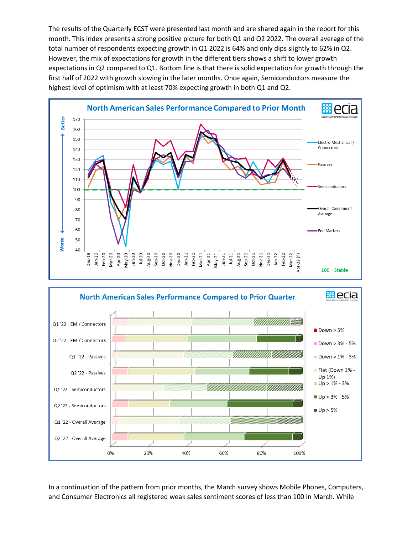The results of the Quarterly ECST were presented last month and are shared again in the report for this month. This index presents a strong positive picture for both Q1 and Q2 2022. The overall average of the total number of respondents expecting growth in Q1 2022 is 64% and only dips slightly to 62% in Q2. However, the mix of expectations for growth in the different tiers shows a shift to lower growth expectations in Q2 compared to Q1. Bottom line is that there is solid expectation for growth through the first half of 2022 with growth slowing in the later months. Once again, Semiconductors measure the highest level of optimism with at least 70% expecting growth in both Q1 and Q2.





In a continuation of the pattern from prior months, the March survey shows Mobile Phones, Computers, and Consumer Electronics all registered weak sales sentiment scores of less than 100 in March. While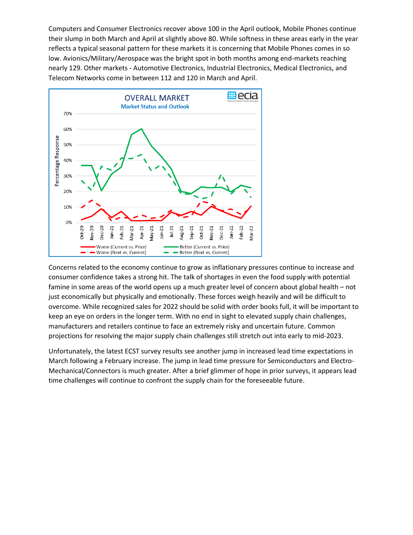Computers and Consumer Electronics recover above 100 in the April outlook, Mobile Phones continue their slump in both March and April at slightly above 80. While softness in these areas early in the year reflects a typical seasonal pattern for these markets it is concerning that Mobile Phones comes in so low. Avionics/Military/Aerospace was the bright spot in both months among end-markets reaching nearly 129. Other markets - Automotive Electronics, Industrial Electronics, Medical Electronics, and Telecom Networks come in between 112 and 120 in March and April.



Concerns related to the economy continue to grow as inflationary pressures continue to increase and consumer confidence takes a strong hit. The talk of shortages in even the food supply with potential famine in some areas of the world opens up a much greater level of concern about global health – not just economically but physically and emotionally. These forces weigh heavily and will be difficult to overcome. While recognized sales for 2022 should be solid with order books full, it will be important to keep an eye on orders in the longer term. With no end in sight to elevated supply chain challenges, manufacturers and retailers continue to face an extremely risky and uncertain future. Common projections for resolving the major supply chain challenges still stretch out into early to mid-2023.

Unfortunately, the latest ECST survey results see another jump in increased lead time expectations in March following a February increase. The jump in lead time pressure for Semiconductors and Electro-Mechanical/Connectors is much greater. After a brief glimmer of hope in prior surveys, it appears lead time challenges will continue to confront the supply chain for the foreseeable future.